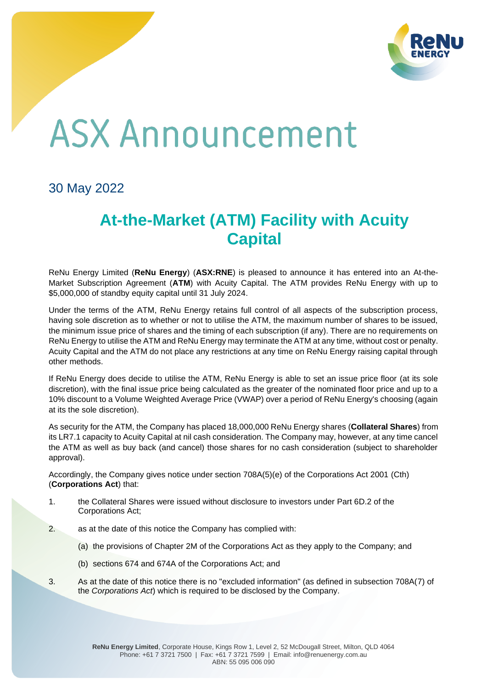

## **ASX Announcement**

30 May 2022

## **At-the-Market (ATM) Facility with Acuity Capital**

ReNu Energy Limited (**ReNu Energy**) (**ASX:RNE**) is pleased to announce it has entered into an At-the-Market Subscription Agreement (**ATM**) with Acuity Capital. The ATM provides ReNu Energy with up to \$5,000,000 of standby equity capital until 31 July 2024.

Under the terms of the ATM, ReNu Energy retains full control of all aspects of the subscription process, having sole discretion as to whether or not to utilise the ATM, the maximum number of shares to be issued, the minimum issue price of shares and the timing of each subscription (if any). There are no requirements on ReNu Energy to utilise the ATM and ReNu Energy may terminate the ATM at any time, without cost or penalty. Acuity Capital and the ATM do not place any restrictions at any time on ReNu Energy raising capital through other methods.

If ReNu Energy does decide to utilise the ATM, ReNu Energy is able to set an issue price floor (at its sole discretion), with the final issue price being calculated as the greater of the nominated floor price and up to a 10% discount to a Volume Weighted Average Price (VWAP) over a period of ReNu Energy's choosing (again at its the sole discretion).

As security for the ATM, the Company has placed 18,000,000 ReNu Energy shares (**Collateral Shares**) from its LR7.1 capacity to Acuity Capital at nil cash consideration. The Company may, however, at any time cancel the ATM as well as buy back (and cancel) those shares for no cash consideration (subject to shareholder approval).

Accordingly, the Company gives notice under section 708A(5)(e) of the Corporations Act 2001 (Cth) (**Corporations Act**) that:

- 1. the Collateral Shares were issued without disclosure to investors under Part 6D.2 of the Corporations Act;
- 2. as at the date of this notice the Company has complied with:
	- (a) the provisions of Chapter 2M of the Corporations Act as they apply to the Company; and
	- (b) sections 674 and 674A of the Corporations Act; and
- 3. As at the date of this notice there is no "excluded information" (as defined in subsection 708A(7) of the *Corporations Act*) which is required to be disclosed by the Company.